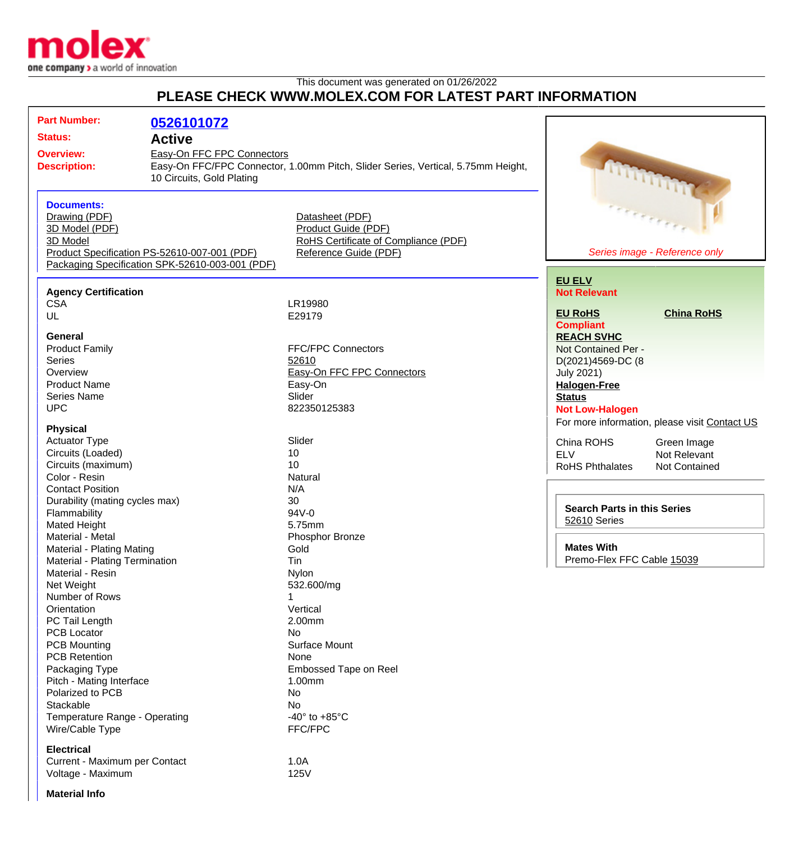

## This document was generated on 01/26/2022 **PLEASE CHECK WWW.MOLEX.COM FOR LATEST PART INFORMATION**

| <b>Part Number:</b>                                                                                                                                  | 0526101072                                                                                                                                                                     |                                                                                                         |                                                                                                                                                            |
|------------------------------------------------------------------------------------------------------------------------------------------------------|--------------------------------------------------------------------------------------------------------------------------------------------------------------------------------|---------------------------------------------------------------------------------------------------------|------------------------------------------------------------------------------------------------------------------------------------------------------------|
|                                                                                                                                                      | <b>Status:</b><br><b>Active</b><br>Easy-On FFC FPC Connectors<br>Easy-On FFC/FPC Connector, 1.00mm Pitch, Slider Series, Vertical, 5.75mm Height,<br>10 Circuits, Gold Plating |                                                                                                         |                                                                                                                                                            |
| <b>Overview:</b><br><b>Description:</b>                                                                                                              |                                                                                                                                                                                |                                                                                                         |                                                                                                                                                            |
| <b>Documents:</b><br>Drawing (PDF)<br>3D Model (PDF)<br>3D Model                                                                                     | Product Specification PS-52610-007-001 (PDF)<br>Packaging Specification SPK-52610-003-001 (PDF)                                                                                | Datasheet (PDF)<br>Product Guide (PDF)<br>RoHS Certificate of Compliance (PDF)<br>Reference Guide (PDF) | <b>Comment</b><br>Series image - Reference only                                                                                                            |
| <b>Agency Certification</b><br><b>CSA</b><br>UL                                                                                                      |                                                                                                                                                                                | LR19980<br>E29179                                                                                       | <b>EU ELV</b><br><b>Not Relevant</b><br><b>EU RoHS</b><br><b>China RoHS</b><br><b>Compliant</b>                                                            |
| <b>General</b><br><b>Product Family</b><br><b>Series</b><br>Overview<br><b>Product Name</b><br><b>Series Name</b><br><b>UPC</b>                      |                                                                                                                                                                                | <b>FFC/FPC Connectors</b><br>52610<br>Easy-On FFC FPC Connectors<br>Easy-On<br>Slider<br>822350125383   | <b>REACH SVHC</b><br>Not Contained Per -<br>D(2021)4569-DC (8<br><b>July 2021)</b><br><b>Halogen-Free</b><br><b>Status</b><br><b>Not Low-Halogen</b>       |
| <b>Physical</b><br><b>Actuator Type</b><br>Circuits (Loaded)<br>Circuits (maximum)<br>Color - Resin                                                  |                                                                                                                                                                                | Slider<br>10<br>10<br>Natural                                                                           | For more information, please visit Contact US<br>China ROHS<br>Green Image<br><b>ELV</b><br>Not Relevant<br><b>RoHS Phthalates</b><br><b>Not Contained</b> |
| <b>Contact Position</b><br>Durability (mating cycles max)<br>Flammability<br><b>Mated Height</b><br>Material - Metal                                 |                                                                                                                                                                                | N/A<br>30<br>94V-0<br>5.75mm<br>Phosphor Bronze                                                         | <b>Search Parts in this Series</b><br>52610 Series                                                                                                         |
| Material - Plating Mating<br>Material - Plating Termination<br>Material - Resin                                                                      |                                                                                                                                                                                | Gold<br>Tin<br>Nylon                                                                                    | <b>Mates With</b><br>Premo-Flex FFC Cable 15039                                                                                                            |
| Net Weight<br>Number of Rows<br>Orientation<br>PC Tail Length<br><b>PCB Locator</b><br><b>PCB Mounting</b><br><b>PCB Retention</b><br>Packaging Type |                                                                                                                                                                                | 532.600/mg<br>1<br>Vertical<br>2.00mm<br>No<br>Surface Mount<br>None<br>Embossed Tape on Reel           |                                                                                                                                                            |
| Pitch - Mating Interface<br>Polarized to PCB<br>Stackable<br>Temperature Range - Operating<br>Wire/Cable Type                                        |                                                                                                                                                                                | 1.00mm<br>No<br>No<br>-40 $^{\circ}$ to +85 $^{\circ}$ C<br>FFC/FPC                                     |                                                                                                                                                            |
| <b>Electrical</b><br>Current - Maximum per Contact                                                                                                   |                                                                                                                                                                                | 1.0A                                                                                                    |                                                                                                                                                            |

## Voltage - Maximum 125V

**Material Info**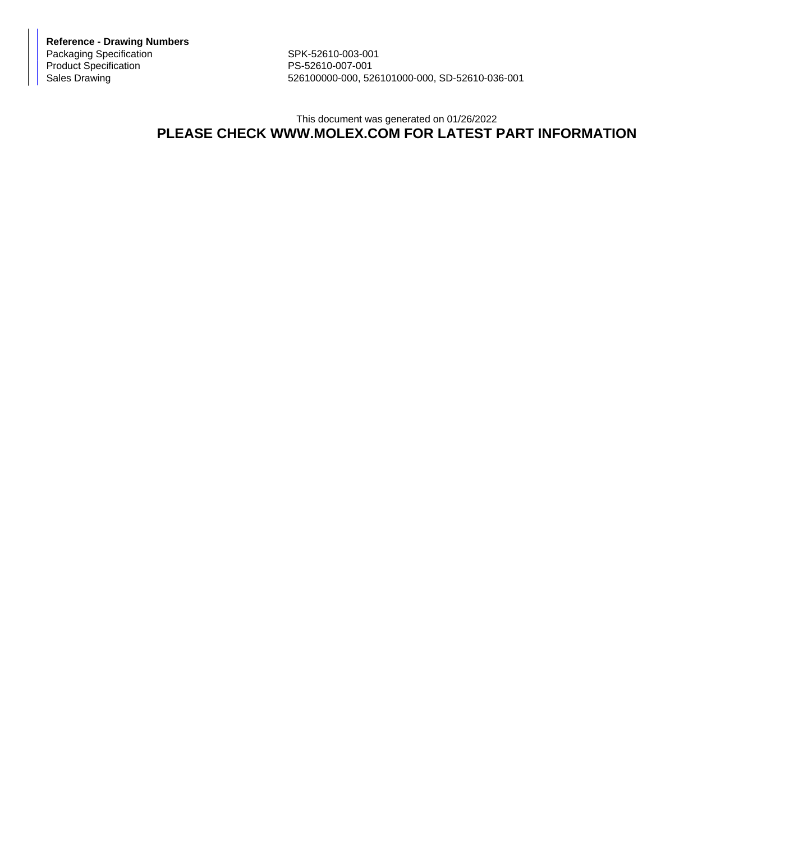**Reference - Drawing Numbers** Packaging Specification SPK-52610-003-001 Product Specification PS-52610-007-001

526100000-000, 526101000-000, SD-52610-036-001

## This document was generated on 01/26/2022 **PLEASE CHECK WWW.MOLEX.COM FOR LATEST PART INFORMATION**